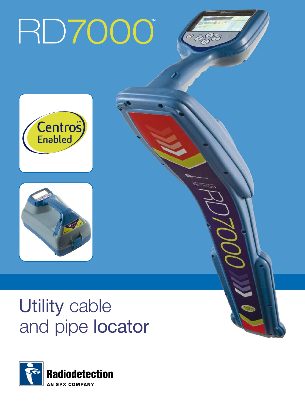# RD7000

 $^{\circ}$  og





# Utility cable and pipe locator

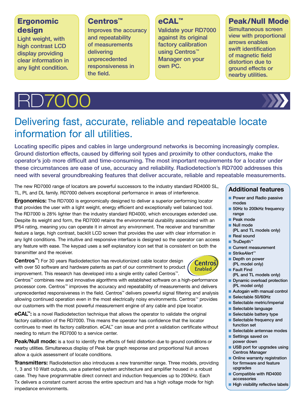# **Ergonomic** design

Light weight, with high contrast LCD display providing clear information in any light condition.

### Centros™

Improves the accuracy and repeatability of measurements delivering unprecedented responsiveness in the field.

# eCAL™

Validate your RD7000 against its original factory calibration using Centros™ Manager on your own PC.

# Peak/Null Mode

Simultaneous screen view with proportional arrows enables swift identification of magnetic field distortion due to ground effects or nearby utilities.





# Delivering fast, accurate, reliable and repeatable locate information for all utilities.

Locating specific pipes and cables in large underground networks is becoming increasingly complex. Ground distortion effects, caused by differing soil types and proximity to other conductors, make the operator's job more difficult and time-consuming. The most important requirements for a locator under these circumstances are ease of use, accuracy and reliability. Radiodetection's RD7000 addresses this need with several groundbreaking features that deliver accurate, reliable and repeatable measurements.

The new RD7000 range of locators are powerful successors to the industry standard RD4000 SL, TL, PL and DL family. RD7000 delivers exceptional performance in areas of interference.

**Ergonomics:** The RD7000 is ergonomically designed to deliver a superior performing locator that provides the user with a light weight, energy efficient and exceptionally well balanced tool. The RD7000 is 28% lighter than the industry standard RD4000, which encourages extended use. Despite its weight and form, the RD7000 retains the environmental durability associated with an IP54 rating, meaning you can operate it in almost any environment. The receiver and transmitter feature a large, high contrast, backlit LCD screen that provides the user with clear information in any light conditions. The intuitive and responsive interface is designed so the operator can access any feature with ease. The keypad uses a self explanatory icon set that is consistent on both the transmitter and the receiver.

**Centros™:** For 30 years Radiodetection has revolutionized cable locator design with over 50 software and hardware patents as part of our commitment to product improvement. This research has developed into a single entity called Centros™.



Centros™ combines new and innovative algorithms with established software on a high-performance processor core. Centros™ improves the accuracy and repeatability of measurements and delivers unprecedented responsiveness in the field. Centros™ delivers powerful signal filtering and analysis allowing continued operation even in the most electrically noisy environments. Centros™ provides our customers with the most powerful measurement engine of any cable and pipe locator.

**eCAL™:** is a novel Radiodetection technique that allows the operator to validate the original factory calibration of the RD7000. This means the operator has confidence that the locator continues to meet its factory calibration. eCAL™ can issue and print a validation certificate without needing to return the RD7000 to a service center.

**Peak/Null mode:** is a tool to identify the effects of field distortion due to ground conditions or nearby utilities. Simultaneous display of Peak bar graph response and proportional Null arrows allow a quick assessment of locate conditions.

**Transmitters:** Radiodetection also introduces a new transmitter range. Three models, providing 1, 3 and 10 Watt outputs, use a patented system architecture and amplifier housed in a robust case. They have programmable direct connect and induction frequencies up to 200kHz. Each Tx delivers a constant current across the entire spectrum and has a high voltage mode for high impedance environments.

#### **Additional features**

- **Power and Radio passive** modes
- 50Hz to 200kHz frequency range
- **Peak mode**
- **Null mode**
- (PL and TL models only) Real sound
- TruDepth™
- **n** Current measurement
- Strike*Alert*™
- Depth on power (PL model only)
- Fault Find
- (PL and TL models only) **Dynamic overload protection**
- (PL model only)
- Autogain with manual control
- Selectable 50/60Hz
- Selectable metric/imperial
- Selectable language
- $\blacksquare$  Selectable battery type
- Selectable frequency and function set
- Selectable antennae modes
- Settings saved on power down
- **D** USB port for upgrades using Centros Manager
- **n** Online warranty registration for firmware and feature upgrades
- Compatible with RD4000 accessories
- $\blacksquare$  High visibility reflective labels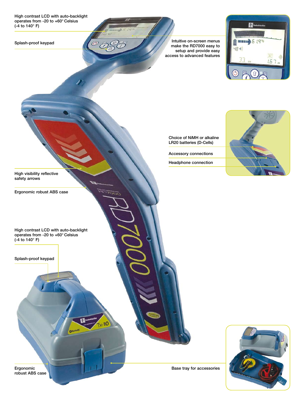High contrast LCD with auto-backlight operates from -20 to +60° Celsius (-4 to 140° F)

 $\circledcirc$ 

 $\overline{115}$ 

10

Splash-proof keypad

Intuitive on-screen menus make the RD7000 easy to setup and provide easy access to advanced features



Choice of NiMH or alkaline LR20 batteries (D-Cells)

Accessory connections

Headphone connection



High visibility reflective safety arrows

Ergonomic robust ABS case

High contrast LCD with auto-backlight operates from -20 to +60° Celsius (-4 to 140° F)

Splash-proof keypad

Ergonomic robust ABS case

Base tray for accessories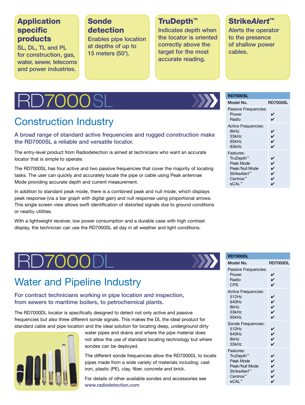# Application specific products

SL, DL, TL and PL for construction, gas, water, sewer, telecoms and power industries.

# **Sonde** detection

Enables pipe location at depths of up to 15 meters (50').

# TruDepth™

Indicates depth when the locator is oriented correctly above the target for the most accurate reading.

# Strike*Alert*™

Alerts the operator to the presence of shallow power cables.

# **D7000SI**

# Construction Industry

A broad range of standard active frequencies and rugged construction make the RD7000SL a reliable and versatile locator.

The entry-level product from Radiodetection is aimed at technicians who want an accurate locator that is simple to operate.

The RD7000SL has four active and two passive frequencies that cover the majority of locating tasks. The user can quickly and accurately locate the pipe or cable using Peak antennae Mode providing accurate depth and current measurement.

In addition to standard peak mode, there is a combined peak and null mode, which displays peak response (via a bar graph with digital gain) and null response using proportional arrows. This single screen view allows swift identification of distorted signals due to ground conditions or nearby utilities.

With a lightweight receiver, low power consumption and a durable case with high contrast display, the technician can use the RD7000SL all day in all weather and light conditions.

| <b>RD7000SL</b> |  |  |  |  |
|-----------------|--|--|--|--|
|                 |  |  |  |  |

| Model No.                                                                                          | <b>RD7000SL</b>       |
|----------------------------------------------------------------------------------------------------|-----------------------|
| Passive Frequencies:<br>Power<br>Radio                                                             | V<br>✔                |
| <b>Active Frequencies:</b><br>8kHz<br>33kHz<br>65kHz<br>83kHz                                      | V<br>V<br>V<br>V      |
| Features:<br>TruDepth™<br>Peak Mode<br>Peak/Null Mode<br>Strike <i>Alert™</i><br>Centros™<br>eCAL™ | V<br>V<br>✔<br>V<br>V |

# **RD7000**

# Water and Pipeline Industry

### For contract technicians working in pipe location and inspection, from sewers to maritime boilers, to petrochemical plants.

The RD7000DL locator is specifically designed to detect not only active and passive frequencies but also three different sonde signals. This makes the DL the ideal product for standard cable and pipe location and the ideal solution for locating deep, underground dirty



water pipes and drains and where the pipe material does not allow the use of standard locating technology but where sondes can be deployed.

The different sonde frequencies allow the RD7000DL to locate pipes made from a wide variety of materials including: cast iron, plastic (PE), clay, fiber, concrete and brick.

For details of other available sondes and accessories see www.radiodetection.com

| <b>RD7000DL</b>                                                                            |                        |
|--------------------------------------------------------------------------------------------|------------------------|
| Model No.                                                                                  | <b>RD7000DL</b>        |
| Passive Frequencies:<br>Power<br>Radio<br><b>CPS</b>                                       | レン                     |
| <b>Active Frequencies:</b><br>512Hz<br>640Hz<br>8kHz<br>33kHz<br>65kHz                     | レンン<br>V               |
| Sonde Frequencies:<br>512Hz<br>640Hz<br>8kHz<br>33kHz                                      | L<br>L<br>$\checkmark$ |
| Features:<br>TruDepth™<br>Peak Mode<br>Peak/Null Mode<br>StrikeAlert™<br>Centros™<br>eCAL™ | レン<br>v<br>V<br>V      |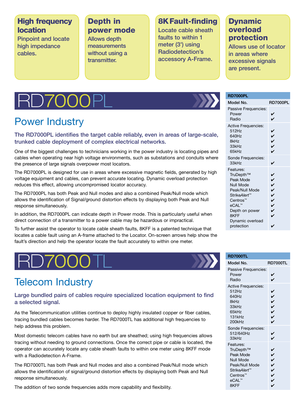# High frequency location

Pinpoint and locate high impedance cables.

### Depth in power mode

Allows depth measurements without using a transmitter.

# 8K Fault-finding

Locate cable sheath faults to within 1 meter (3') using Radiodetection's accessory A-Frame.

# Dynamic overload protection

Allows use of locator in areas where excessive signals are present.

# D700

# Power Industry

### The RD7000PL identifies the target cable reliably, even in areas of large-scale, trunked cable deployment of complex electrical networks.

One of the biggest challenges to technicians working in the power industry is locating pipes and cables when operating near high voltage environments, such as substations and conduits where the presence of large signals overpower most locators.

The RD7000PL is designed for use in areas where excessive magnetic fields, generated by high voltage equipment and cables, can prevent accurate locating. Dynamic overload protection reduces this effect, allowing uncompromised locator accuracy.

The RD7000PL has both Peak and Null modes and also a combined Peak/Null mode which allows the identification of Signal/ground distortion effects by displaying both Peak and Null response simultaneously.

In addition, the RD7000PL can indicate depth in Power mode. This is particularly useful when direct connection of a transmitter to a power cable may be hazardous or impractical.

To further assist the operator to locate cable sheath faults, 8KFF is a patented technique that locates a cable fault using an A-frame attached to the Locator. On-screen arrows help show the fault's direction and help the operator locate the fault accurately to within one meter.

# Telecom Industry

#### Large bundled pairs of cables require specialized location equipment to find a selected signal.

As the Telecommunication utilities continue to deploy highly insulated copper or fiber cables, tracing bundled cables becomes harder. The RD7000TL has additional high frequencies to help address this problem.

Most domestic telecom cables have no earth but are sheathed; using high frequencies allows tracing without needing to ground connections. Once the correct pipe or cable is located, the operator can accurately locate any cable sheath faults to within one meter using 8KFF mode with a Radiodetection A-Frame.

The RD7000TL has both Peak and Null modes and also a combined Peak/Null mode which allows the identification of signal/ground distortion effects by displaying both Peak and Null response simultaneously.

The addition of two sonde frequencies adds more capability and flexibility.

#### **RD7000PL**

| Model No.                                                                                                                                                         | <b>RD7000PL</b>                                                                           |
|-------------------------------------------------------------------------------------------------------------------------------------------------------------------|-------------------------------------------------------------------------------------------|
| Passive Frequencies:<br>Power<br>Radio                                                                                                                            | V<br>V                                                                                    |
| <b>Active Frequencies:</b><br>512Hz<br>640Hz<br>8kHz<br>33kHz<br>65kHz                                                                                            | ✓<br>ソン<br>V                                                                              |
| Sonde Frequencies:<br>33kHz                                                                                                                                       | ✓                                                                                         |
| Features:<br>TruDepth™<br>Peak Mode<br>Null Mode<br>Peak/Null Mode<br>StrikeAlert™<br>Centros <sup>™</sup><br>eCAL™<br>Depth on power<br>8KFF<br>Dynamic overload | $\checkmark$<br>$\check{\checkmark}$<br>$\overline{\phantom{0}}$<br>V<br>V<br>V<br>V<br>V |
| protection                                                                                                                                                        |                                                                                           |

#### **RD7000TL** Model No. RD7000TL Passive Frequencies: Power  $\sqrt{ }$ Radio  $\sqrt{ }$ Active Frequencies:  $512$ Hz  $\sqrt{ }$  $640$ Hz<br>  $8k$ Hz<br>  $33k$ Hz<br>  $65k$ Hz<br>  $131k$ Hz<br>  $\overrightarrow{V}$ 8kHz  $33kHz$  $65kHz$ 131kHz ✔ 200kHz ✔ Sonde Frequencies: 512/640Hz  $\overline{V}$ <br>33kHz  $\overline{V}$ 33kHz Features: TruDepth™<br>
Peak Mode<br>
Null Mode<br>
Peak/Null Mode<br>
Strike*Alert™*<br>
Centros™<br>
eCAL™ Peak Mode Null Mode Peak/Null Mode Strike*Alert*™ Centros<sup>™</sup> eCAL™ 8KFF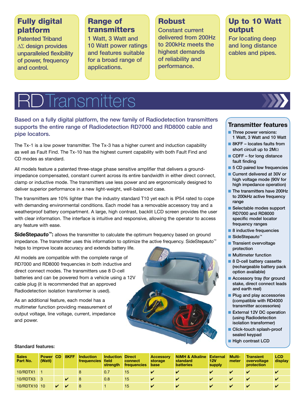# Fully digital platform

Patented Triband ∆Σ design provides unparalleled flexibility of power, frequency and control.

### Range of transmitters

1 Watt, 3 Watt and 10 Watt power ratings and features suitable for a broad range of applications.

# **Robust**

Constant current delivered from 200Hz to 200kHz meets the highest demands of reliability and performance.

# Up to 10 Watt output

For locating deep and long distance cables and pipes.

# **Transmitters**

#### Based on a fully digital platform, the new family of Radiodetection transmitters supports the entire range of Radiodetection RD7000 and RD8000 cable and pipe locators.

The Tx-1 is a low power transmitter. The Tx-3 has a higher current and induction capability as well as Fault Find. The Tx-10 has the highest current capability with both Fault Find and CD modes as standard.

All models feature a patented three-stage phase sensitive amplifier that delivers a groundimpedance compensated, constant current across its entire bandwidth in either direct connect, clamp or inductive mode. The transmitters use less power and are ergonomically designed to deliver superior performance in a new light-weight, well-balanced case.

The transmitters are 10% lighter than the industry standard T10 yet each is IP54 rated to cope with demanding environmental conditions. Each model has a removable accessory tray and a weatherproof battery compartment. A large, high contrast, backlit LCD screen provides the user with clear information. The interface is intuitive and responsive, allowing the operator to access any feature with ease.

**SideStepauto<sup>™</sup>:** allows the transmitter to calculate the optimum frequency based on ground impedance. The transmitter uses this information to optimize the active frequency. SideStep*auto*™ helps to improve locate accuracy and extends battery life.

All models are compatible with the complete range of RD7000 and RD8000 frequencies in both inductive and direct connect modes. The transmitters use 8 D-cell batteries and can be powered from a vehicle using a 12V cable plug (it is recommended that an approved Radiodetection isolation transformer is used).

As an additional feature, each model has a multimeter function providing measurement of output voltage, line voltage, current, impedance and power.



### **Transmitter features**

- **n** Three power versions: 1 Watt, 3 Watt and 10 Watt
- $\blacksquare$  8KFF locates faults from short circuit up to 2MΩ
- $\blacksquare$  CDFF for long distance fault finding
- 5 CD paired low frequencies
- Current delivered at 30V or high voltage mode (90V for high impedance operation)
- The transmitters have 200Hz to 200kHz active frequency range
- Selectable modes support RD7000 and RD8000 specific model locator frequency ranges
- 8 inductive frequencies
- SideStepauto<sup>™</sup>
- Transient overvoltage protection
- **n** Multimeter function
- 8 D-cell battery cassette (rechargeable battery pack option available)
- Accessory tray (for ground stake, direct connect leads and earth reel)
- **Plug and play accessories** (compatible with RD4000 transmitter accessories)
- External 12V DC operation (using Radiodetection isolation transformer)
- Click-touch splash-proof sealed keypad
- High contrast LCD

#### Standard features:

| <b>Sales</b><br>Part No. | <b>Power</b><br>(Watt) | <b>CD</b> | 8KFF | <b>Induction</b><br>frequencies | <b>Induction Direct</b><br>field<br>strength | connect<br>frequencies | <b>Accessory</b><br>storage<br>base | <b>NiMH &amp; Alkaline</b><br>standard<br><b>batteries</b> | <b>External</b><br>12V<br>supply | <b>Multi-</b><br>meter | <b>Transient</b><br>overvoltage<br>protection | LCD<br>display |
|--------------------------|------------------------|-----------|------|---------------------------------|----------------------------------------------|------------------------|-------------------------------------|------------------------------------------------------------|----------------------------------|------------------------|-----------------------------------------------|----------------|
| 10/RDTX1                 |                        |           |      |                                 | 0.7                                          | 15                     |                                     |                                                            |                                  |                        |                                               |                |
| 10/RDTX3                 |                        |           |      |                                 | 0.8                                          | 15                     |                                     |                                                            |                                  |                        |                                               |                |
| 10/RDTX10 10             |                        |           |      |                                 |                                              | 15                     |                                     |                                                            |                                  |                        |                                               |                |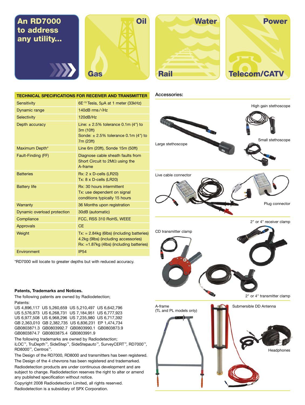# to address any utility...



| <b>Water</b> |
|--------------|
|              |
|              |
|              |
| <b>Rail</b>  |



**Technical Specifications for receiver and transmitter** Sensitivity 6E-15 Tesla, 5µA at 1 meter (33kHz) Dynamic range 140dB rms /√Hz Selectivity 120dB/Hz Depth accuracy Line:  $\pm 2.5\%$  tolerance 0.1m (4") to 3m (10ft) Sonde:  $\pm 2.5\%$  tolerance 0.1m (4") to 7m (23ft) Maximum Depth\* Line 6m (20ft), Sonde 15m (50ft) Fault-Finding (FF) Diagnose cable sheath faults from Short Circuit to 2MΩ using the A-frame Batteries Rx: 2 x D-cells (LR20) Tx: 8 x D-cells (LR20) Battery life **Rx: 30 hours intermittent** Tx: use dependent on signal conditions typically 15 hours Warranty 36 Months upon registration Dynamic overload protection 30dB (automatic) Compliance **FCC, RSS 310 RoHS, WEEE** Approvals **CE** Weight Tx: = 2.84kg (6lbs) (including batteries) 4.2kg (9lbs) (including accessories) Rx: =1.87kg (4lbs) (including batteries) Environment IP54

Accessories:



\*RD7000 will locate to greater depths but with reduced accuracy.

#### **Patents, Trademarks and Notices.**

The following patents are owned by Radiodetection; Patents:

| US 4.896.117 US 5.260.659 US 5.210.497 US 6.642.796 |  |
|-----------------------------------------------------|--|
| US 5,576,973 US 6,268,731 US 7,184,951 US 6,777,923 |  |
| US 6,977,508 US 6,968,296 US 7,235,980 US 6,717,392 |  |
| GB 2.363.010 GB 2.382.735 US 6.836.231 EP 1.474.734 |  |
| GB0803871.3 GB0803992.7 GB0803990.1 GB0803873.9     |  |
| GB0803874.7 GB0803875.4 GB0803991.9                 |  |

The following trademarks are owned by Radiodetection;

iLOC™, TruDepth™, SideStep™, SideStep*auto*™, SurveyCERT™, RD7000™, RD8000™, Centros™.

The Design of the RD7000, RD8000 and transmitters has been registered. The Design of the 4 chevrons has been registered and trademarked.

Radiodetection products are under continuous development and are subject to change. Radiodetection reserves the right to alter or amend any published specification without notice.

Copyright 2008 Radiodetection Limited, all rights reserved. Radiodetection is a subsidiary of SPX Corporation.